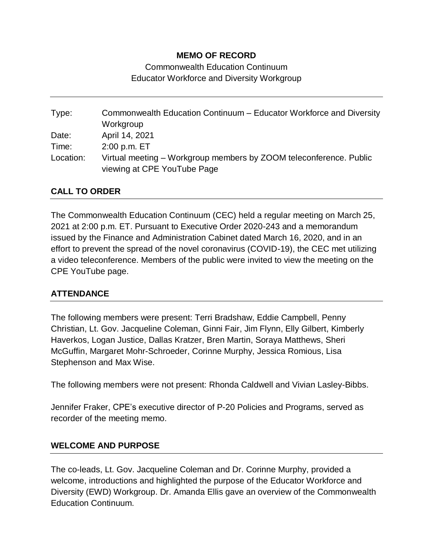# **MEMO OF RECORD**

Commonwealth Education Continuum Educator Workforce and Diversity Workgroup

Type: Commonwealth Education Continuum – Educator Workforce and Diversity Workgroup Date: April 14, 2021 Time: 2:00 p.m. ET Location: Virtual meeting – Workgroup members by ZOOM teleconference. Public viewing at CPE YouTube Page

## **CALL TO ORDER**

The Commonwealth Education Continuum (CEC) held a regular meeting on March 25, 2021 at 2:00 p.m. ET. Pursuant to Executive Order 2020-243 and a memorandum issued by the Finance and Administration Cabinet dated March 16, 2020, and in an effort to prevent the spread of the novel coronavirus (COVID-19), the CEC met utilizing a video teleconference. Members of the public were invited to view the meeting on the CPE YouTube page.

## **ATTENDANCE**

The following members were present: Terri Bradshaw, Eddie Campbell, Penny Christian, Lt. Gov. Jacqueline Coleman, Ginni Fair, Jim Flynn, Elly Gilbert, Kimberly Haverkos, Logan Justice, Dallas Kratzer, Bren Martin, Soraya Matthews, Sheri McGuffin, Margaret Mohr-Schroeder, Corinne Murphy, Jessica Romious, Lisa Stephenson and Max Wise.

The following members were not present: Rhonda Caldwell and Vivian Lasley-Bibbs.

Jennifer Fraker, CPE's executive director of P-20 Policies and Programs, served as recorder of the meeting memo.

### **WELCOME AND PURPOSE**

The co-leads, Lt. Gov. Jacqueline Coleman and Dr. Corinne Murphy, provided a welcome, introductions and highlighted the purpose of the Educator Workforce and Diversity (EWD) Workgroup. Dr. Amanda Ellis gave an overview of the Commonwealth Education Continuum.